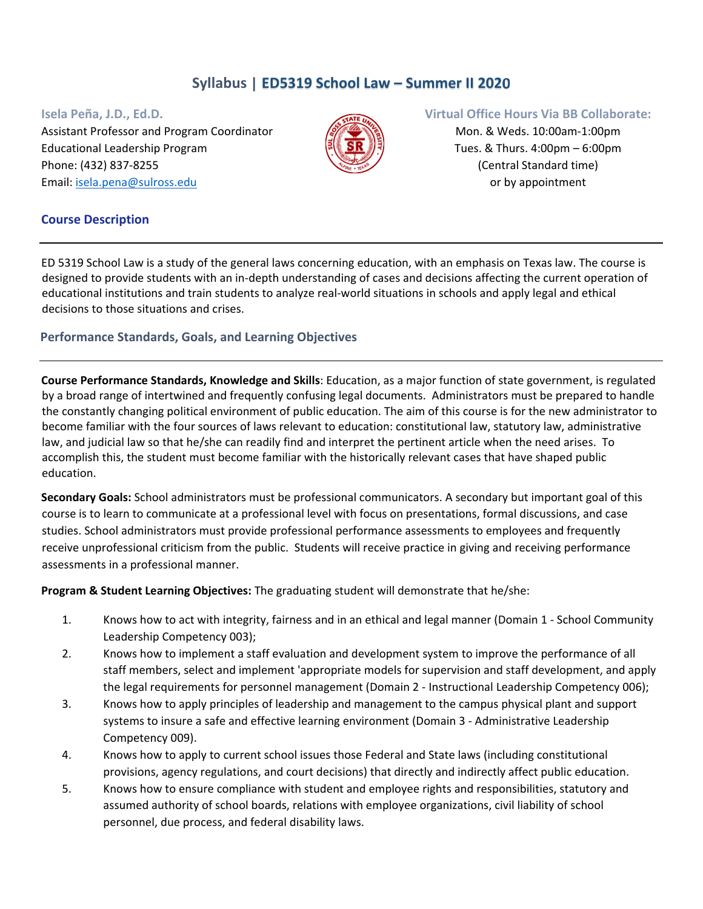# **Syllabus | ED5319 School Law – Summer II 2020**

Assistant Professor and Program Coordinator Mon. & Weds. 10:00am-1:00pm Educational Leadership Program  $\mathbb{R} \setminus \mathbb{S} \mathbb{R}$   $\mathbb{R} \setminus \mathbb{S}$  Tues. & Thurs. 4:00pm – 6:00pm Phone: (432) 837‐8255 (Central Standard time) Email: isela.pena@sulross.edu or by appointment



#### **Isela Peña, J.D., Ed.D. Virtual Office Hours Via BB Collaborate:**

## **Course Description**

ED 5319 School Law is a study of the general laws concerning education, with an emphasis on Texas law. The course is designed to provide students with an in‐depth understanding of cases and decisions affecting the current operation of educational institutions and train students to analyze real‐world situations in schools and apply legal and ethical decisions to those situations and crises.

## **Performance Standards, Goals, and Learning Objectives**

**Course Performance Standards, Knowledge and Skills**: Education, as a major function of state government, is regulated by a broad range of intertwined and frequently confusing legal documents. Administrators must be prepared to handle the constantly changing political environment of public education. The aim of this course is for the new administrator to become familiar with the four sources of laws relevant to education: constitutional law, statutory law, administrative law, and judicial law so that he/she can readily find and interpret the pertinent article when the need arises. To accomplish this, the student must become familiar with the historically relevant cases that have shaped public education.

**Secondary Goals:** School administrators must be professional communicators. A secondary but important goal of this course is to learn to communicate at a professional level with focus on presentations, formal discussions, and case studies. School administrators must provide professional performance assessments to employees and frequently receive unprofessional criticism from the public. Students will receive practice in giving and receiving performance assessments in a professional manner.

**Program & Student Learning Objectives:** The graduating student will demonstrate that he/she:

- 1. Knows how to act with integrity, fairness and in an ethical and legal manner (Domain 1 ‐ School Community Leadership Competency 003);
- 2. Knows how to implement a staff evaluation and development system to improve the performance of all staff members, select and implement 'appropriate models for supervision and staff development, and apply the legal requirements for personnel management (Domain 2 ‐ Instructional Leadership Competency 006);
- 3. Knows how to apply principles of leadership and management to the campus physical plant and support systems to insure a safe and effective learning environment (Domain 3 ‐ Administrative Leadership Competency 009).
- 4. Knows how to apply to current school issues those Federal and State laws (including constitutional provisions, agency regulations, and court decisions) that directly and indirectly affect public education.
- 5. Knows how to ensure compliance with student and employee rights and responsibilities, statutory and assumed authority of school boards, relations with employee organizations, civil liability of school personnel, due process, and federal disability laws.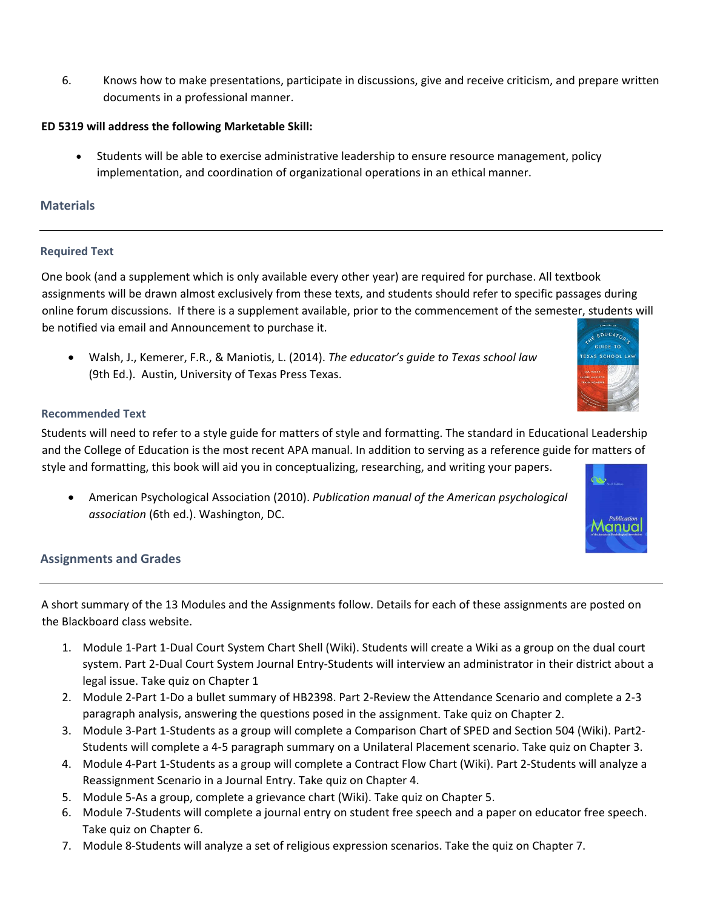6. Knows how to make presentations, participate in discussions, give and receive criticism, and prepare written documents in a professional manner.

## **ED 5319 will address the following Marketable Skill:**

 Students will be able to exercise administrative leadership to ensure resource management, policy implementation, and coordination of organizational operations in an ethical manner.

# **Materials**

### **Required Text**

One book (and a supplement which is only available every other year) are required for purchase. All textbook assignments will be drawn almost exclusively from these texts, and students should refer to specific passages during online forum discussions. If there is a supplement available, prior to the commencement of the semester, students will be notified via email and Announcement to purchase it. **EDUCATOR** 

 Walsh, J., Kemerer, F.R., & Maniotis, L. (2014). *The educator's guide to Texas school law* (9th Ed.). Austin, University of Texas Press Texas.

#### **Recommended Text**

Students will need to refer to a style guide for matters of style and formatting. The standard in Educational Leadership and the College of Education is the most recent APA manual. In addition to serving as a reference guide for matters of style and formatting, this book will aid you in conceptualizing, researching, and writing your papers.

 American Psychological Association (2010). *Publication manual of the American psychological association* (6th ed.). Washington, DC.



**GUIDE TO EXAS SCHO** 

### **Assignments and Grades**

A short summary of the 13 Modules and the Assignments follow. Details for each of these assignments are posted on the Blackboard class website.

- 1. Module 1‐Part 1‐Dual Court System Chart Shell (Wiki). Students will create a Wiki as a group on the dual court system. Part 2‐Dual Court System Journal Entry‐Students will interview an administrator in their district about a legal issue. Take quiz on Chapter 1
- 2. Module 2‐Part 1‐Do a bullet summary of HB2398. Part 2‐Review the Attendance Scenario and complete a 2‐3 paragraph analysis, answering the questions posed in the assignment. Take quiz on Chapter 2.
- 3. Module 3‐Part 1‐Students as a group will complete a Comparison Chart of SPED and Section 504 (Wiki). Part2‐ Students will complete a 4‐5 paragraph summary on a Unilateral Placement scenario. Take quiz on Chapter 3.
- 4. Module 4‐Part 1‐Students as a group will complete a Contract Flow Chart (Wiki). Part 2‐Students will analyze a Reassignment Scenario in a Journal Entry. Take quiz on Chapter 4.
- 5. Module 5‐As a group, complete a grievance chart (Wiki). Take quiz on Chapter 5.
- 6. Module 7‐Students will complete a journal entry on student free speech and a paper on educator free speech. Take quiz on Chapter 6.
- 7. Module 8‐Students will analyze a set of religious expression scenarios. Take the quiz on Chapter 7.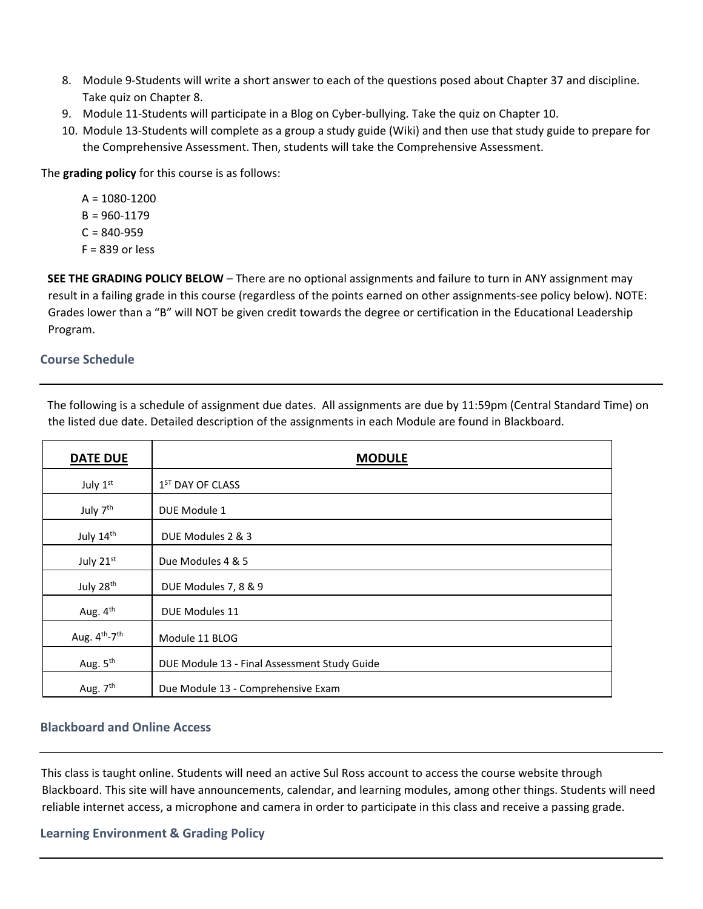- 8. Module 9‐Students will write a short answer to each of the questions posed about Chapter 37 and discipline. Take quiz on Chapter 8.
- 9. Module 11-Students will participate in a Blog on Cyber-bullying. Take the quiz on Chapter 10.
- 10. Module 13‐Students will complete as a group a study guide (Wiki) and then use that study guide to prepare for the Comprehensive Assessment. Then, students will take the Comprehensive Assessment.

The **grading policy** for this course is as follows:

 $A = 1080 - 1200$  $B = 960 - 1179$  $C = 840 - 959$  $F = 839$  or less

**SEE THE GRADING POLICY BELOW** – There are no optional assignments and failure to turn in ANY assignment may result in a failing grade in this course (regardless of the points earned on other assignments‐see policy below). NOTE: Grades lower than a "B" will NOT be given credit towards the degree or certification in the Educational Leadership Program.

### **Course Schedule**

| <b>DATE DUE</b>                | <b>MODULE</b>                                |
|--------------------------------|----------------------------------------------|
| July 1st                       | 1 <sup>ST</sup> DAY OF CLASS                 |
| July 7 <sup>th</sup>           | DUE Module 1                                 |
| July 14th                      | DUE Modules 2 & 3                            |
| July 21st                      | Due Modules 4 & 5                            |
| July 28 <sup>th</sup>          | DUE Modules 7, 8 & 9                         |
| Aug. 4 <sup>th</sup>           | DUE Modules 11                               |
| Aug. $4^{th}$ -7 <sup>th</sup> | Module 11 BLOG                               |
| Aug. 5 <sup>th</sup>           | DUE Module 13 - Final Assessment Study Guide |
| Aug. 7 <sup>th</sup>           | Due Module 13 - Comprehensive Exam           |

The following is a schedule of assignment due dates. All assignments are due by 11:59pm (Central Standard Time) on the listed due date. Detailed description of the assignments in each Module are found in Blackboard.

# **Blackboard and Online Access**

This class is taught online. Students will need an active Sul Ross account to access the course website through Blackboard. This site will have announcements, calendar, and learning modules, among other things. Students will need reliable internet access, a microphone and camera in order to participate in this class and receive a passing grade.

**Learning Environment & Grading Policy**